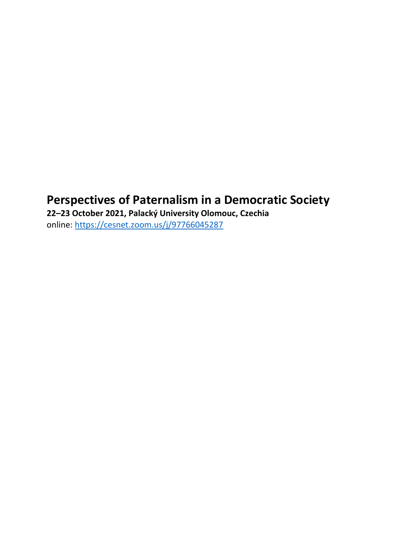# **Perspectives of Paternalism in a Democratic Society**

**22–23 October 2021, Palacký University Olomouc, Czechia** online:<https://cesnet.zoom.us/j/97766045287>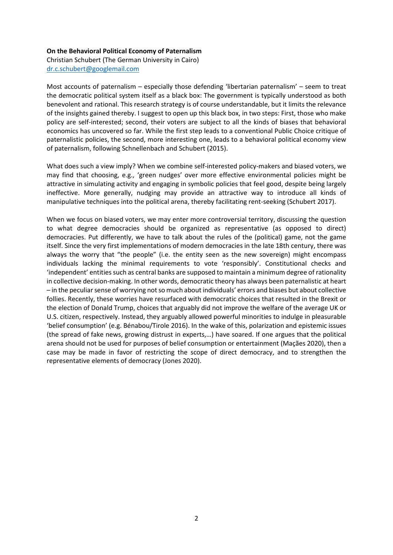#### **On the Behavioral Political Economy of Paternalism**

Christian Schubert (The German University in Cairo) [dr.c.schubert@googlemail.com](mailto:dr.c.schubert@googlemail.com)

Most accounts of paternalism – especially those defending 'libertarian paternalism' – seem to treat the democratic political system itself as a black box: The government is typically understood as both benevolent and rational. This research strategy is of course understandable, but it limits the relevance of the insights gained thereby. I suggest to open up this black box, in two steps: First, those who make policy are self-interested; second, their voters are subject to all the kinds of biases that behavioral economics has uncovered so far. While the first step leads to a conventional Public Choice critique of paternalistic policies, the second, more interesting one, leads to a behavioral political economy view of paternalism, following Schnellenbach and Schubert (2015).

What does such a view imply? When we combine self-interested policy-makers and biased voters, we may find that choosing, e.g., 'green nudges' over more effective environmental policies might be attractive in simulating activity and engaging in symbolic policies that feel good, despite being largely ineffective. More generally, nudging may provide an attractive way to introduce all kinds of manipulative techniques into the political arena, thereby facilitating rent-seeking (Schubert 2017).

When we focus on biased voters, we may enter more controversial territory, discussing the question to what degree democracies should be organized as representative (as opposed to direct) democracies. Put differently, we have to talk about the rules of the (political) game, not the game itself. Since the very first implementations of modern democracies in the late 18th century, there was always the worry that "the people" (i.e. the entity seen as the new sovereign) might encompass individuals lacking the minimal requirements to vote 'responsibly'. Constitutional checks and 'independent' entities such as central banks are supposed to maintain a minimum degree of rationality in collective decision-making. In other words, democratic theory has always been paternalistic at heart – in the peculiar sense of worrying not so much about individuals' errors and biases but about collective follies. Recently, these worries have resurfaced with democratic choices that resulted in the Brexit or the election of Donald Trump, choices that arguably did not improve the welfare of the average UK or U.S. citizen, respectively. Instead, they arguably allowed powerful minorities to indulge in pleasurable 'belief consumption' (e.g. Bénabou/Tirole 2016). In the wake of this, polarization and epistemic issues (the spread of fake news, growing distrust in experts,…) have soared. If one argues that the political arena should not be used for purposes of belief consumption or entertainment (Maçães 2020), then a case may be made in favor of restricting the scope of direct democracy, and to strengthen the representative elements of democracy (Jones 2020).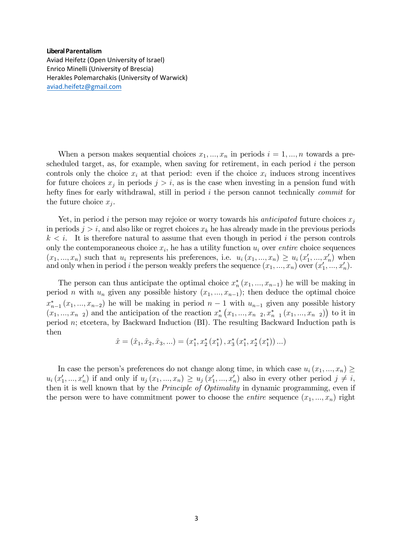#### **Liberal Parentalism**

Aviad Heifetz (Open University of Israel) Enrico Minelli (University of Brescia) Herakles Polemarchakis (University of Warwick) [aviad.heifetz@gmail.com](mailto:aviad.heifetz@gmail.com) 

When a person makes sequential choices  $x_1, ..., x_n$  in periods  $i = 1, ..., n$  towards a prescheduled target, as, for example, when saving for retirement, in each period  $i$  the person controls only the choice  $x_i$  at that period: even if the choice  $x_i$  induces strong incentives for future choices  $x_j$  in periods  $j > i$ , as is the case when investing in a pension fund with hefty fines for early withdrawal, still in period  $i$  the person cannot technically *commit* for the future choice  $x_j$ .

Yet, in period i the person may rejoice or worry towards his *anticipated* future choices  $x_j$ in periods  $j > i$ , and also like or regret choices  $x_k$  he has already made in the previous periods  $k < i$ . It is therefore natural to assume that even though in period i the person controls only the contemporaneous choice  $x_i$ , he has a utility function  $u_i$  over *entire* choice sequences  $(x_1, ..., x_n)$  such that  $u_i$  represents his preferences, i.e.  $u_i(x_1, ..., x_n) \ge u_i(x'_1, ..., x'_n)$  when and only when in period *i* the person weakly prefers the sequence  $(x_1, ..., x_n)$  over  $(x'_1, ..., x'_n)$ .

The person can thus anticipate the optimal choice  $x_{n}^{*}(x_{1},...,x_{n-1})$  he will be making in period *n* with  $u_n$  given any possible history  $(x_1, ..., x_{n-1})$ ; then deduce the optimal choice  $x_{n-1}^*(x_1,...,x_{n-2})$  he will be making in period  $n-1$  with  $u_{n-1}$  given any possible history  $(x_1,...,x_{n-2})$  and the anticipation of the reaction  $x_n^*\left(x_1,...,x_{n-2},x_{n-1}^*\left(x_1,...,x_{n-2}\right)\right)$  to it in period n; etcetera, by Backward Induction (BI). The resulting Backward Induction path is then

$$
\hat{x} = (\hat{x}_1, \hat{x}_2, \hat{x}_3, \ldots) = (x_1^*, x_2^*, (x_1^*), x_3^*, (x_1^*, x_2^*, (x_1^*)) \ldots)
$$

In case the person's preferences do not change along time, in which case  $u_i(x_1, ..., x_n) \ge$  $u_i(x'_1,...,x'_n)$  if and only if  $u_j(x_1,...,x_n) \ge u_j(x'_1,...,x'_n)$  also in every other period  $j \ne i$ , then it is well known that by the Principle of Optimality in dynamic programming, even if the person were to have commitment power to choose the *entire* sequence  $(x_1, ..., x_n)$  right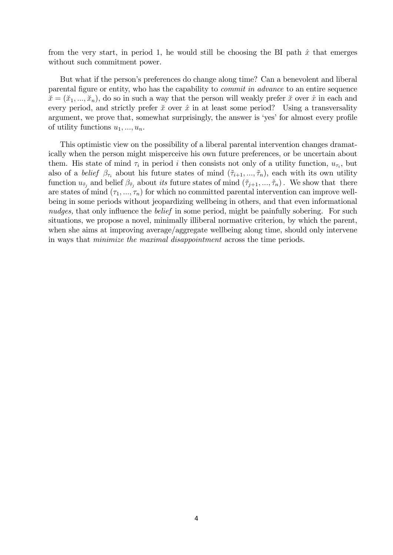from the very start, in period 1, he would still be choosing the BI path  $\hat{x}$  that emerges without such commitment power.

But what if the person's preferences do change along time? Can a benevolent and liberal parental figure or entity, who has the capability to *commit in advance* to an entire sequence  $\check{x} = (\check{x}_1, ..., \check{x}_n)$ , do so in such a way that the person will weakly prefer  $\check{x}$  over  $\hat{x}$  in each and every period, and strictly prefer  $\tilde{x}$  over  $\hat{x}$  in at least some period? Using a transversality argument, we prove that, somewhat surprisingly, the answer is 'yes' for almost every profile of utility functions  $u_1, \ldots, u_n$ .

This optimistic view on the possibility of a liberal parental intervention changes dramatically when the person might misperceive his own future preferences, or be uncertain about them. His state of mind  $\tau_i$  in period i then consists not only of a utility function,  $u_{\tau_i}$ , but also of a *belief*  $\beta_{\tau_i}$  about his future states of mind  $(\tilde{\tau}_{i+1},...,\tilde{\tau}_n)$ , each with its own utility function  $u_{\tilde{\tau}_j}$  and belief  $\beta_{\tilde{\tau}_j}$  about *its* future states of mind  $(\tilde{\tau}_{j+1},...,\tilde{\tau}_n)$ . We show that there are states of mind  $(\tau_1, ..., \tau_n)$  for which no committed parental intervention can improve wellbeing in some periods without jeopardizing wellbeing in others, and that even informational nudges, that only influence the *belief* in some period, might be painfully sobering. For such situations, we propose a novel, minimally illiberal normative criterion, by which the parent, when she aims at improving average/aggregate wellbeing along time, should only intervene in ways that *minimize the maximal disappointment* across the time periods.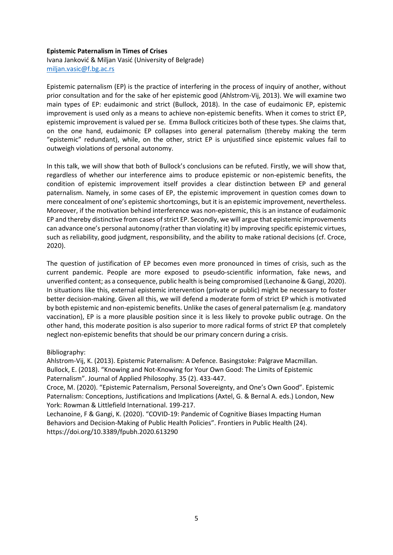# **Epistemic Paternalism in Times of Crises** Ivana Janković & Miljan Vasić (University of Belgrade) [miljan.vasic@f.bg.ac.rs](mailto:miljan.vasic@f.bg.ac.rs)

Epistemic paternalism (EP) is the practice of interfering in the process of inquiry of another, without prior consultation and for the sake of her epistemic good (Ahlstrom-Vij, 2013). We will examine two main types of EP: eudaimonic and strict (Bullock, 2018). In the case of eudaimonic EP, epistemic improvement is used only as a means to achieve non-epistemic benefits. When it comes to strict EP, epistemic improvement is valued per se. Emma Bullock criticizes both of these types. She claims that, on the one hand, eudaimonic EP collapses into general paternalism (thereby making the term "epistemic" redundant), while, on the other, strict EP is unjustified since epistemic values fail to outweigh violations of personal autonomy.

In this talk, we will show that both of Bullock's conclusions can be refuted. Firstly, we will show that, regardless of whether our interference aims to produce epistemic or non-epistemic benefits, the condition of epistemic improvement itself provides a clear distinction between EP and general paternalism. Namely, in some cases of EP, the epistemic improvement in question comes down to mere concealment of one's epistemic shortcomings, but it is an epistemic improvement, nevertheless. Moreover, if the motivation behind interference was non-epistemic, this is an instance of eudaimonic EP and thereby distinctive from cases of strict EP. Secondly, we will argue that epistemic improvements can advance one's personal autonomy (rather than violating it) by improving specific epistemic virtues, such as reliability, good judgment, responsibility, and the ability to make rational decisions (cf. Croce, 2020).

The question of justification of EP becomes even more pronounced in times of crisis, such as the current pandemic. People are more exposed to pseudo-scientific information, fake news, and unverified content; as a consequence, public health is being compromised (Lechanoine & Gangi, 2020). In situations like this, external epistemic intervention (private or public) might be necessary to foster better decision-making. Given all this, we will defend a moderate form of strict EP which is motivated by both epistemic and non-epistemic benefits. Unlike the cases of general paternalism (e.g. mandatory vaccination), EP is a more plausible position since it is less likely to provoke public outrage. On the other hand, this moderate position is also superior to more radical forms of strict EP that completely neglect non-epistemic benefits that should be our primary concern during a crisis.

# Bibliography:

Ahlstrom-Vij, K. (2013). Epistemic Paternalism: A Defence. Basingstoke: Palgrave Macmillan. Bullock, E. (2018). "Knowing and Not-Knowing for Your Own Good: The Limits of Epistemic Paternalism". Journal of Applied Philosophy. 35 (2). 433-447.

Croce, M. (2020). "Epistemic Paternalism, Personal Sovereignty, and One's Own Good". Epistemic Paternalism: Conceptions, Justifications and Implications (Axtel, G. & Bernal A. eds.) London, New York: Rowman & Littlefield International. 199-217.

Lechanoine, F & Gangi, K. (2020). "COVID-19: Pandemic of Cognitive Biases Impacting Human Behaviors and Decision-Making of Public Health Policies". Frontiers in Public Health (24). https://doi.org/10.3389/fpubh.2020.613290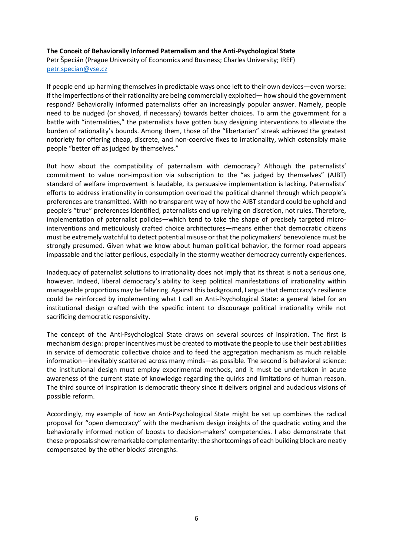# **The Conceit of Behaviorally Informed Paternalism and the Anti-Psychological State** Petr Špecián (Prague University of Economics and Business; Charles University; IREF) [petr.specian@vse.cz](mailto:petr.specian@vse.cz)

If people end up harming themselves in predictable ways once left to their own devices—even worse: if the imperfections of their rationality are being commercially exploited— how should the government respond? Behaviorally informed paternalists offer an increasingly popular answer. Namely, people need to be nudged (or shoved, if necessary) towards better choices. To arm the government for a battle with "internalities," the paternalists have gotten busy designing interventions to alleviate the burden of rationality's bounds. Among them, those of the "libertarian" streak achieved the greatest notoriety for offering cheap, discrete, and non-coercive fixes to irrationality, which ostensibly make people "better off as judged by themselves."

But how about the compatibility of paternalism with democracy? Although the paternalists' commitment to value non-imposition via subscription to the "as judged by themselves" (AJBT) standard of welfare improvement is laudable, its persuasive implementation is lacking. Paternalists' efforts to address irrationality in consumption overload the political channel through which people's preferences are transmitted. With no transparent way of how the AJBT standard could be upheld and people's "true" preferences identified, paternalists end up relying on discretion, not rules. Therefore, implementation of paternalist policies—which tend to take the shape of precisely targeted microinterventions and meticulously crafted choice architectures—means either that democratic citizens must be extremely watchful to detect potential misuse or that the policymakers' benevolence must be strongly presumed. Given what we know about human political behavior, the former road appears impassable and the latter perilous, especially in the stormy weather democracy currently experiences.

Inadequacy of paternalist solutions to irrationality does not imply that its threat is not a serious one, however. Indeed, liberal democracy's ability to keep political manifestations of irrationality within manageable proportions may be faltering. Against this background, I argue that democracy's resilience could be reinforced by implementing what I call an Anti-Psychological State: a general label for an institutional design crafted with the specific intent to discourage political irrationality while not sacrificing democratic responsivity.

The concept of the Anti-Psychological State draws on several sources of inspiration. The first is mechanism design: proper incentives must be created to motivate the people to use their best abilities in service of democratic collective choice and to feed the aggregation mechanism as much reliable information—inevitably scattered across many minds—as possible. The second is behavioral science: the institutional design must employ experimental methods, and it must be undertaken in acute awareness of the current state of knowledge regarding the quirks and limitations of human reason. The third source of inspiration is democratic theory since it delivers original and audacious visions of possible reform.

Accordingly, my example of how an Anti-Psychological State might be set up combines the radical proposal for "open democracy" with the mechanism design insights of the quadratic voting and the behaviorally informed notion of boosts to decision-makers' competencies. I also demonstrate that these proposals show remarkable complementarity: the shortcomings of each building block are neatly compensated by the other blocks' strengths.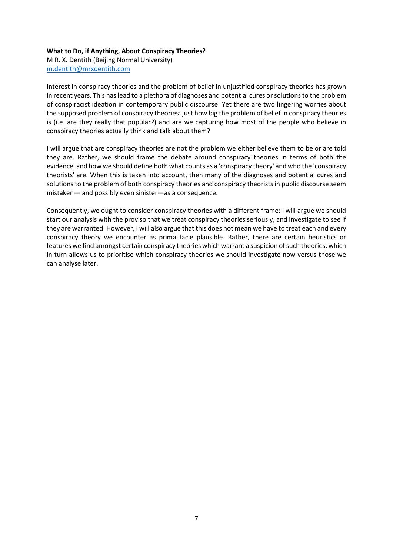# **What to Do, if Anything, About Conspiracy Theories?**

M R. X. Dentith (Beijing Normal University) [m.dentith@mrxdentith.com](mailto:m.dentith@mrxdentith.com)

Interest in conspiracy theories and the problem of belief in unjustified conspiracy theories has grown in recent years. This has lead to a plethora of diagnoses and potential cures or solutions to the problem of conspiracist ideation in contemporary public discourse. Yet there are two lingering worries about the supposed problem of conspiracy theories: just how big the problem of belief in conspiracy theories is (i.e. are they really that popular?) and are we capturing how most of the people who believe in conspiracy theories actually think and talk about them?

I will argue that are conspiracy theories are not the problem we either believe them to be or are told they are. Rather, we should frame the debate around conspiracy theories in terms of both the evidence, and how we should define both what counts as a 'conspiracy theory' and who the 'conspiracy theorists' are. When this is taken into account, then many of the diagnoses and potential cures and solutions to the problem of both conspiracy theories and conspiracy theorists in public discourse seem mistaken— and possibly even sinister—as a consequence.

Consequently, we ought to consider conspiracy theories with a different frame: I will argue we should start our analysis with the proviso that we treat conspiracy theories seriously, and investigate to see if they are warranted. However, I will also argue that this does not mean we have to treat each and every conspiracy theory we encounter as prima facie plausible. Rather, there are certain heuristics or features we find amongst certain conspiracy theories which warrant a suspicion of such theories, which in turn allows us to prioritise which conspiracy theories we should investigate now versus those we can analyse later.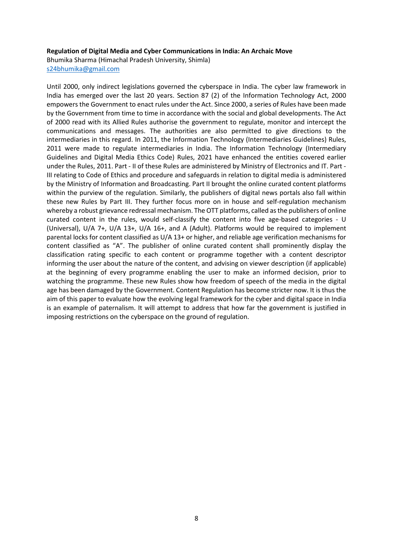#### **Regulation of Digital Media and Cyber Communications in India: An Archaic Move**

Bhumika Sharma (Himachal Pradesh University, Shimla)

[s24bhumika@gmail.com](mailto:s24bhumika@gmail.com)

Until 2000, only indirect legislations governed the cyberspace in India. The cyber law framework in India has emerged over the last 20 years. Section 87 (2) of the Information Technology Act, 2000 empowers the Government to enact rules under the Act. Since 2000, a series of Rules have been made by the Government from time to time in accordance with the social and global developments. The Act of 2000 read with its Allied Rules authorise the government to regulate, monitor and intercept the communications and messages. The authorities are also permitted to give directions to the intermediaries in this regard. In 2011, the Information Technology (Intermediaries Guidelines) Rules, 2011 were made to regulate intermediaries in India. The Information Technology (Intermediary Guidelines and Digital Media Ethics Code) Rules, 2021 have enhanced the entities covered earlier under the Rules, 2011. Part - II of these Rules are administered by Ministry of Electronics and IT. Part - III relating to Code of Ethics and procedure and safeguards in relation to digital media is administered by the Ministry of Information and Broadcasting. Part II brought the online curated content platforms within the purview of the regulation. Similarly, the publishers of digital news portals also fall within these new Rules by Part III. They further focus more on in house and self-regulation mechanism whereby a robust grievance redressal mechanism. The OTT platforms, called as the publishers of online curated content in the rules, would self-classify the content into five age-based categories - U (Universal), U/A 7+, U/A 13+, U/A 16+, and A (Adult). Platforms would be required to implement parental locks for content classified as U/A 13+ or higher, and reliable age verification mechanisms for content classified as "A". The publisher of online curated content shall prominently display the classification rating specific to each content or programme together with a content descriptor informing the user about the nature of the content, and advising on viewer description (if applicable) at the beginning of every programme enabling the user to make an informed decision, prior to watching the programme. These new Rules show how freedom of speech of the media in the digital age has been damaged by the Government. Content Regulation has become stricter now. It is thus the aim of this paper to evaluate how the evolving legal framework for the cyber and digital space in India is an example of paternalism. It will attempt to address that how far the government is justified in imposing restrictions on the cyberspace on the ground of regulation.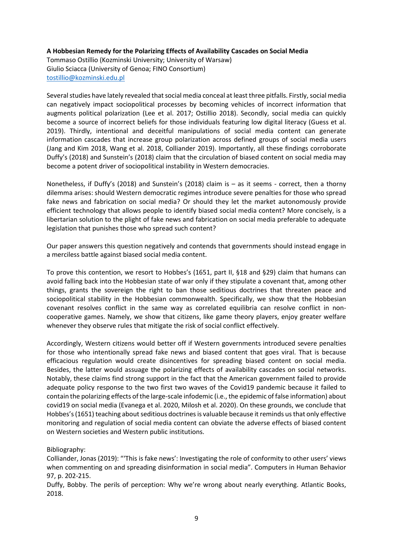# **A Hobbesian Remedy for the Polarizing Effects of Availability Cascades on Social Media**

Tommaso Ostillio (Kozminski University; University of Warsaw) Giulio Sciacca (University of Genoa; FINO Consortium) [tostillio@kozminski.edu.pl](mailto:tostillio@kozminski.edu.pl)

Several studies have lately revealed that social media conceal at least three pitfalls. Firstly, social media can negatively impact sociopolitical processes by becoming vehicles of incorrect information that augments political polarization (Lee et al. 2017; Ostillio 2018). Secondly, social media can quickly become a source of incorrect beliefs for those individuals featuring low digital literacy (Guess et al. 2019). Thirdly, intentional and deceitful manipulations of social media content can generate information cascades that increase group polarization across defined groups of social media users (Jang and Kim 2018, Wang et al. 2018, Colliander 2019). Importantly, all these findings corroborate Duffy's (2018) and Sunstein's (2018) claim that the circulation of biased content on social media may become a potent driver of sociopolitical instability in Western democracies.

Nonetheless, if Duffy's (2018) and Sunstein's (2018) claim is – as it seems - correct, then a thorny dilemma arises: should Western democratic regimes introduce severe penalties for those who spread fake news and fabrication on social media? Or should they let the market autonomously provide efficient technology that allows people to identify biased social media content? More concisely, is a libertarian solution to the plight of fake news and fabrication on social media preferable to adequate legislation that punishes those who spread such content?

Our paper answers this question negatively and contends that governments should instead engage in a merciless battle against biased social media content.

To prove this contention, we resort to Hobbes's (1651, part II, §18 and §29) claim that humans can avoid falling back into the Hobbesian state of war only if they stipulate a covenant that, among other things, grants the sovereign the right to ban those seditious doctrines that threaten peace and sociopolitical stability in the Hobbesian commonwealth. Specifically, we show that the Hobbesian covenant resolves conflict in the same way as correlated equilibria can resolve conflict in noncooperative games. Namely, we show that citizens, like game theory players, enjoy greater welfare whenever they observe rules that mitigate the risk of social conflict effectively.

Accordingly, Western citizens would better off if Western governments introduced severe penalties for those who intentionally spread fake news and biased content that goes viral. That is because efficacious regulation would create disincentives for spreading biased content on social media. Besides, the latter would assuage the polarizing effects of availability cascades on social networks. Notably, these claims find strong support in the fact that the American government failed to provide adequate policy response to the two first two waves of the Covid19 pandemic because it failed to contain the polarizing effects of the large-scale infodemic (i.e., the epidemic of false information) about covid19 on social media (Evanega et al. 2020, Milosh et al. 2020). On these grounds, we conclude that Hobbes's (1651) teaching about seditious doctrines is valuable because it reminds us that only effective monitoring and regulation of social media content can obviate the adverse effects of biased content on Western societies and Western public institutions.

## Bibliography:

Colliander, Jonas (2019): "'This is fake news': Investigating the role of conformity to other users' views when commenting on and spreading disinformation in social media". Computers in Human Behavior 97, p. 202-215.

Duffy, Bobby. The perils of perception: Why we're wrong about nearly everything. Atlantic Books, 2018.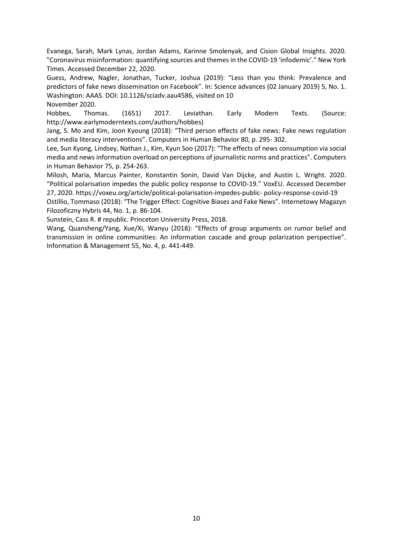Evanega, Sarah, Mark Lynas, Jordan Adams, Karinne Smolenyak, and Cision Global Insights. 2020. "Coronavirus misinformation: quantifying sources and themes in the COVID-19 'infodemic'." New York Times. Accessed December 22, 2020.

Guess, Andrew, Nagler, Jonathan, Tucker, Joshua (2019): "Less than you think: Prevalence and predictors of fake news dissemination on Facebook". In: Science advances (02 January 2019) 5, No. 1. Washington: AAAS. DOI: 10.1126/sciadv.aau4586, visited on 10 November 2020.

Hobbes, Thomas. (1651) 2017. Leviathan. Early Modern Texts. (Source: http://www.earlymoderntexts.com/authors/hobbes)

Jang, S. Mo and Kim, Joon Kyoung (2018): "Third person effects of fake news: Fake news regulation and media literacy interventions". Computers in Human Behavior 80, p. 295- 302.

Lee, Sun Kyong, Lindsey, Nathan J., Kim, Kyun Soo (2017): "The effects of news consumption via social media and news information overload on perceptions of journalistic norms and practices". Computers in Human Behavior 75, p. 254-263.

Milosh, Maria, Marcus Painter, Konstantin Sonin, David Van Dijcke, and Austin L. Wright. 2020. "Political polarisation impedes the public policy response to COVID-19." VoxEU. Accessed December 27, 2020. https://voxeu.org/article/political-polarisation-impedes-public- policy-response-covid-19

Ostillio, Tommaso (2018): "The Trigger Effect: Cognitive Biases and Fake News". Internetowy Magazyn Filozoficzny Hybris 44, No. 1, p. 86-104.

Sunstein, Cass R. # republic. Princeton University Press, 2018.

Wang, Quansheng/Yang, Xue/Xi, Wanyu (2018): "Effects of group arguments on rumor belief and transmission in online communities: An information cascade and group polarization perspective". Information & Management 55, No. 4, p. 441-449.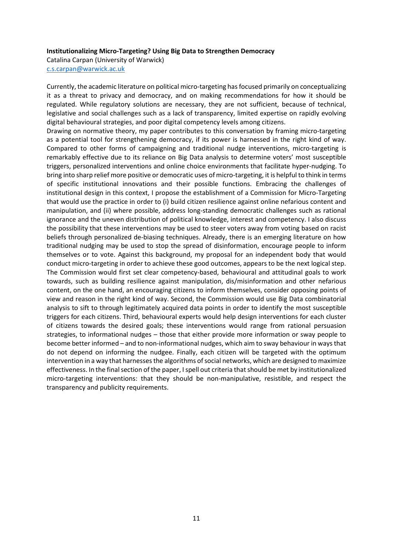#### **Institutionalizing Micro-Targeting? Using Big Data to Strengthen Democracy**

Catalina Carpan (University of Warwick)

[c.s.carpan@warwick.ac.uk](mailto:c.s.carpan@warwick.ac.uk)

Currently, the academic literature on political micro-targeting has focused primarily on conceptualizing it as a threat to privacy and democracy, and on making recommendations for how it should be regulated. While regulatory solutions are necessary, they are not sufficient, because of technical, legislative and social challenges such as a lack of transparency, limited expertise on rapidly evolving digital behavioural strategies, and poor digital competency levels among citizens.

Drawing on normative theory, my paper contributes to this conversation by framing micro-targeting as a potential tool for strengthening democracy, if its power is harnessed in the right kind of way. Compared to other forms of campaigning and traditional nudge interventions, micro-targeting is remarkably effective due to its reliance on Big Data analysis to determine voters' most susceptible triggers, personalized interventions and online choice environments that facilitate hyper-nudging. To bring into sharp relief more positive or democratic uses of micro-targeting, it is helpful to think in terms of specific institutional innovations and their possible functions. Embracing the challenges of institutional design in this context, I propose the establishment of a Commission for Micro-Targeting that would use the practice in order to (i) build citizen resilience against online nefarious content and manipulation, and (ii) where possible, address long-standing democratic challenges such as rational ignorance and the uneven distribution of political knowledge, interest and competency. I also discuss the possibility that these interventions may be used to steer voters away from voting based on racist beliefs through personalized de-biasing techniques. Already, there is an emerging literature on how traditional nudging may be used to stop the spread of disinformation, encourage people to inform themselves or to vote. Against this background, my proposal for an independent body that would conduct micro-targeting in order to achieve these good outcomes, appears to be the next logical step. The Commission would first set clear competency-based, behavioural and attitudinal goals to work towards, such as building resilience against manipulation, dis/misinformation and other nefarious content, on the one hand, an encouraging citizens to inform themselves, consider opposing points of view and reason in the right kind of way. Second, the Commission would use Big Data combinatorial analysis to sift to through legitimately acquired data points in order to identify the most susceptible triggers for each citizens. Third, behavioural experts would help design interventions for each cluster of citizens towards the desired goals; these interventions would range from rational persuasion strategies, to informational nudges – those that either provide more information or sway people to become better informed – and to non-informational nudges, which aim to sway behaviour in ways that do not depend on informing the nudgee. Finally, each citizen will be targeted with the optimum intervention in a way that harnesses the algorithms of social networks, which are designed to maximize effectiveness. In the final section of the paper, I spell out criteria that should be met by institutionalized micro-targeting interventions: that they should be non-manipulative, resistible, and respect the transparency and publicity requirements.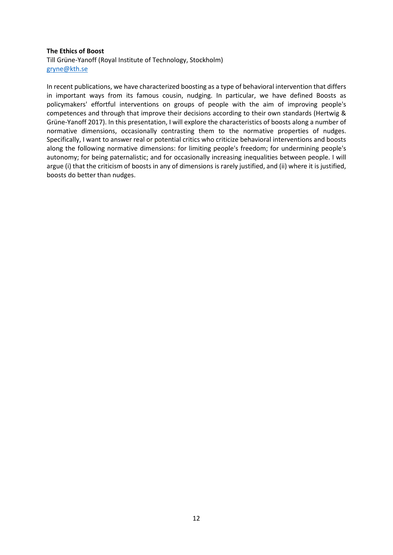#### **The Ethics of Boost**

Till Grüne-Yanoff (Royal Institute of Technology, Stockholm) [gryne@kth.se](mailto:gryne@kth.se)

In recent publications, we have characterized boosting as a type of behavioral intervention that differs in important ways from its famous cousin, nudging. In particular, we have defined Boosts as policymakers' effortful interventions on groups of people with the aim of improving people's competences and through that improve their decisions according to their own standards (Hertwig & Grüne-Yanoff 2017). In this presentation, I will explore the characteristics of boosts along a number of normative dimensions, occasionally contrasting them to the normative properties of nudges. Specifically, I want to answer real or potential critics who criticize behavioral interventions and boosts along the following normative dimensions: for limiting people's freedom; for undermining people's autonomy; for being paternalistic; and for occasionally increasing inequalities between people. I will argue (i) that the criticism of boosts in any of dimensions is rarely justified, and (ii) where it is justified, boosts do better than nudges.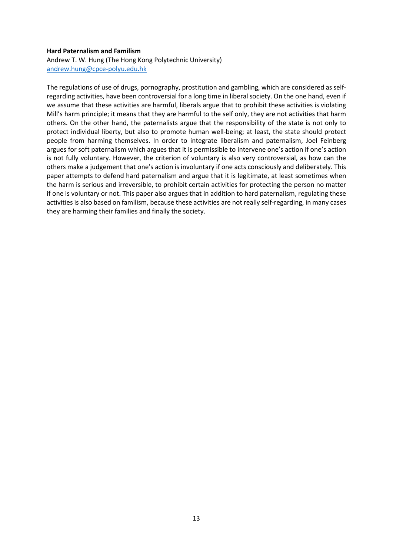#### **Hard Paternalism and Familism**

#### Andrew T. W. Hung (The Hong Kong Polytechnic University) [andrew.hung@cpce-polyu.edu.hk](mailto:andrew.hung@cpce-polyu.edu.hk)

The regulations of use of drugs, pornography, prostitution and gambling, which are considered as selfregarding activities, have been controversial for a long time in liberal society. On the one hand, even if we assume that these activities are harmful, liberals argue that to prohibit these activities is violating Mill's harm principle; it means that they are harmful to the self only, they are not activities that harm others. On the other hand, the paternalists argue that the responsibility of the state is not only to protect individual liberty, but also to promote human well-being; at least, the state should protect people from harming themselves. In order to integrate liberalism and paternalism, Joel Feinberg argues for soft paternalism which argues that it is permissible to intervene one's action if one's action is not fully voluntary. However, the criterion of voluntary is also very controversial, as how can the others make a judgement that one's action is involuntary if one acts consciously and deliberately. This paper attempts to defend hard paternalism and argue that it is legitimate, at least sometimes when the harm is serious and irreversible, to prohibit certain activities for protecting the person no matter if one is voluntary or not. This paper also argues that in addition to hard paternalism, regulating these activities is also based on familism, because these activities are not really self-regarding, in many cases they are harming their families and finally the society.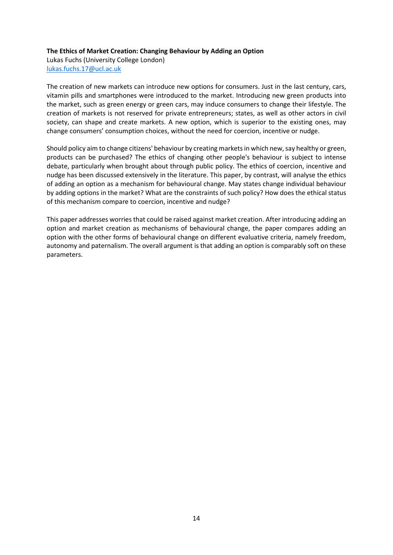# **The Ethics of Market Creation: Changing Behaviour by Adding an Option**

Lukas Fuchs (University College London) [lukas.fuchs.17@ucl.ac.uk](mailto:lukas.fuchs.17@ucl.ac.uk)

The creation of new markets can introduce new options for consumers. Just in the last century, cars, vitamin pills and smartphones were introduced to the market. Introducing new green products into the market, such as green energy or green cars, may induce consumers to change their lifestyle. The creation of markets is not reserved for private entrepreneurs; states, as well as other actors in civil society, can shape and create markets. A new option, which is superior to the existing ones, may change consumers' consumption choices, without the need for coercion, incentive or nudge.

Should policy aim to change citizens' behaviour by creating markets in which new, say healthy or green, products can be purchased? The ethics of changing other people's behaviour is subject to intense debate, particularly when brought about through public policy. The ethics of coercion, incentive and nudge has been discussed extensively in the literature. This paper, by contrast, will analyse the ethics of adding an option as a mechanism for behavioural change. May states change individual behaviour by adding options in the market? What are the constraints of such policy? How does the ethical status of this mechanism compare to coercion, incentive and nudge?

This paper addresses worries that could be raised against market creation. After introducing adding an option and market creation as mechanisms of behavioural change, the paper compares adding an option with the other forms of behavioural change on different evaluative criteria, namely freedom, autonomy and paternalism. The overall argument is that adding an option is comparably soft on these parameters.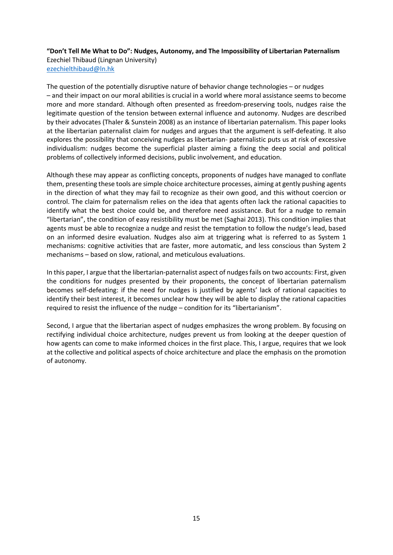**"Don't Tell Me What to Do": Nudges, Autonomy, and The Impossibility of Libertarian Paternalism** Ezechiel Thibaud (Lingnan University) [ezechielthibaud@ln.hk](mailto:ezechielthibaud@ln.hk)

The question of the potentially disruptive nature of behavior change technologies – or nudges – and their impact on our moral abilities is crucial in a world where moral assistance seems to become more and more standard. Although often presented as freedom-preserving tools, nudges raise the legitimate question of the tension between external influence and autonomy. Nudges are described by their advocates (Thaler & Sunstein 2008) as an instance of libertarian paternalism. This paper looks at the libertarian paternalist claim for nudges and argues that the argument is self-defeating. It also explores the possibility that conceiving nudges as libertarian- paternalistic puts us at risk of excessive individualism: nudges become the superficial plaster aiming a fixing the deep social and political problems of collectively informed decisions, public involvement, and education.

Although these may appear as conflicting concepts, proponents of nudges have managed to conflate them, presenting these tools are simple choice architecture processes, aiming at gently pushing agents in the direction of what they may fail to recognize as their own good, and this without coercion or control. The claim for paternalism relies on the idea that agents often lack the rational capacities to identify what the best choice could be, and therefore need assistance. But for a nudge to remain "libertarian", the condition of easy resistibility must be met (Saghai 2013). This condition implies that agents must be able to recognize a nudge and resist the temptation to follow the nudge's lead, based on an informed desire evaluation. Nudges also aim at triggering what is referred to as System 1 mechanisms: cognitive activities that are faster, more automatic, and less conscious than System 2 mechanisms – based on slow, rational, and meticulous evaluations.

In this paper, I argue that the libertarian-paternalist aspect of nudges fails on two accounts: First, given the conditions for nudges presented by their proponents, the concept of libertarian paternalism becomes self-defeating: if the need for nudges is justified by agents' lack of rational capacities to identify their best interest, it becomes unclear how they will be able to display the rational capacities required to resist the influence of the nudge – condition for its "libertarianism".

Second, I argue that the libertarian aspect of nudges emphasizes the wrong problem. By focusing on rectifying individual choice architecture, nudges prevent us from looking at the deeper question of how agents can come to make informed choices in the first place. This, I argue, requires that we look at the collective and political aspects of choice architecture and place the emphasis on the promotion of autonomy.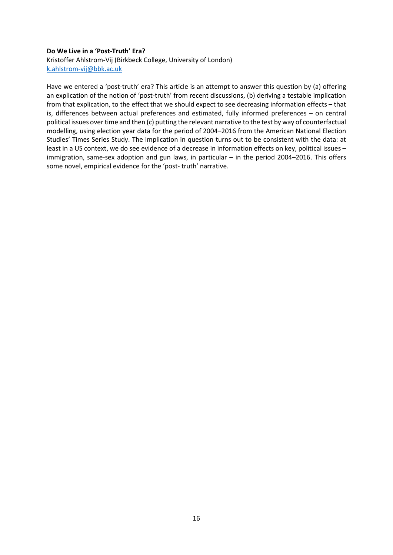# **Do We Live in a 'Post-Truth' Era?** Kristoffer Ahlstrom-Vij (Birkbeck College, University of London)

[k.ahlstrom-vij@bbk.ac.uk](mailto:k.ahlstrom-vij@bbk.ac.uk)

Have we entered a 'post-truth' era? This article is an attempt to answer this question by (a) offering an explication of the notion of 'post-truth' from recent discussions, (b) deriving a testable implication from that explication, to the effect that we should expect to see decreasing information effects – that is, differences between actual preferences and estimated, fully informed preferences – on central political issues over time and then (c) putting the relevant narrative to the test by way of counterfactual modelling, using election year data for the period of 2004–2016 from the American National Election Studies' Times Series Study. The implication in question turns out to be consistent with the data: at least in a US context, we do see evidence of a decrease in information effects on key, political issues – immigration, same-sex adoption and gun laws, in particular – in the period 2004–2016. This offers some novel, empirical evidence for the 'post- truth' narrative.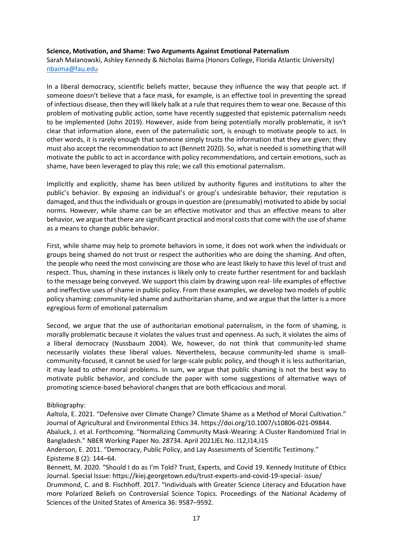#### **Science, Motivation, and Shame: Two Arguments Against Emotional Paternalism**

Sarah Malanowski, Ashley Kennedy & Nicholas Baima (Honors College, Florida Atlantic University) [nbaima@fau.edu](mailto:nbaima@fau.edu)

In a liberal democracy, scientific beliefs matter, because they influence the way that people act. If someone doesn't believe that a face mask, for example, is an effective tool in preventing the spread of infectious disease, then they will likely balk at a rule that requires them to wear one. Because of this problem of motivating public action, some have recently suggested that epistemic paternalism needs to be implemented (John 2019). However, aside from being potentially morally problematic, it isn't clear that information alone, even of the paternalistic sort, is enough to motivate people to act. In other words, it is rarely enough that someone simply trusts the information that they are given; they must also accept the recommendation to act (Bennett 2020). So, what is needed is something that will motivate the public to act in accordance with policy recommendations, and certain emotions, such as shame, have been leveraged to play this role; we call this emotional paternalism.

Implicitly and explicitly, shame has been utilized by authority figures and institutions to alter the public's behavior. By exposing an individual's or group's undesirable behavior, their reputation is damaged, and thus the individuals or groups in question are (presumably) motivated to abide by social norms. However, while shame can be an effective motivator and thus an effective means to alter behavior, we argue that there are significant practical and moral costs that come with the use of shame as a means to change public behavior.

First, while shame may help to promote behaviors in some, it does not work when the individuals or groups being shamed do not trust or respect the authorities who are doing the shaming. And often, the people who need the most convincing are those who are least likely to have this level of trust and respect. Thus, shaming in these instances is likely only to create further resentment for and backlash to the message being conveyed. We support this claim by drawing upon real- life examples of effective and ineffective uses of shame in public policy. From these examples, we develop two models of public policy shaming: community-led shame and authoritarian shame, and we argue that the latter is a more egregious form of emotional paternalism

Second, we argue that the use of authoritarian emotional paternalism, in the form of shaming, is morally problematic because it violates the values trust and openness. As such, it violates the aims of a liberal democracy (Nussbaum 2004). We, however, do not think that community-led shame necessarily violates these liberal values. Nevertheless, because community-led shame is smallcommunity-focused, it cannot be used for large-scale public policy, and though it is less authoritarian, it may lead to other moral problems. In sum, we argue that public shaming is not the best way to motivate public behavior, and conclude the paper with some suggestions of alternative ways of promoting science-based behavioral changes that are both efficacious and moral.

## Bibliography:

Aaltola, E. 2021. "Defensive over Climate Change? Climate Shame as a Method of Moral Cultivation." Journal of Agricultural and Environmental Ethics 34. https://doi.org/10.1007/s10806-021-09844. Abaluck, J. et al. Forthcoming. "Normalizing Community Mask-Wearing: A Cluster Randomized Trial in Bangladesh." NBER Working Paper No. 28734. April 2021JEL No. I12,I14,I15

Anderson, E. 2011. "Democracy, Public Policy, and Lay Assessments of Scientific Testimony." Episteme 8 (2): 144–64.

Bennett, M. 2020. "Should I do as I'm Told? Trust, Experts, and Covid 19. Kennedy Institute of Ethics Journal. Special Issue: https://kiej.georgetown.edu/trust-experts-and-covid-19-special- issue/ Drummond, C. and B. Fischhoff. 2017. "Individuals with Greater Science Literacy and Education have more Polarized Beliefs on Controversial Science Topics. Proceedings of the National Academy of Sciences of the United States of America 36: 9587–9592.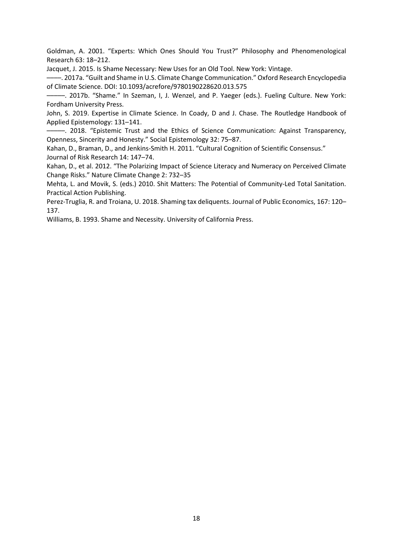Goldman, A. 2001. "Experts: Which Ones Should You Trust?" Philosophy and Phenomenological Research 63: 18–212.

Jacquet, J. 2015. Is Shame Necessary: New Uses for an Old Tool. New York: Vintage.

––––. 2017a. "Guilt and Shame in U.S. Climate Change Communication." Oxford Research Encyclopedia of Climate Science. DOI: 10.1093/acrefore/9780190228620.013.575

–––––. 2017b. "Shame." In Szeman, I, J. Wenzel, and P. Yaeger (eds.). Fueling Culture. New York: Fordham University Press.

John, S. 2019. Expertise in Climate Science. In Coady, D and J. Chase. The Routledge Handbook of Applied Epistemology: 131–141.

–––––. 2018. "Epistemic Trust and the Ethics of Science Communication: Against Transparency, Openness, Sincerity and Honesty." Social Epistemology 32: 75–87.

Kahan, D., Braman, D., and Jenkins-Smith H. 2011. "Cultural Cognition of Scientific Consensus." Journal of Risk Research 14: 147–74.

Kahan, D., et al. 2012. "The Polarizing Impact of Science Literacy and Numeracy on Perceived Climate Change Risks." Nature Climate Change 2: 732–35

Mehta, L. and Movik, S. (eds.) 2010. Shit Matters: The Potential of Community-Led Total Sanitation. Practical Action Publishing.

Perez-Truglia, R. and Troiana, U. 2018. Shaming tax deliquents. Journal of Public Economics, 167: 120– 137.

Williams, B. 1993. Shame and Necessity. University of California Press.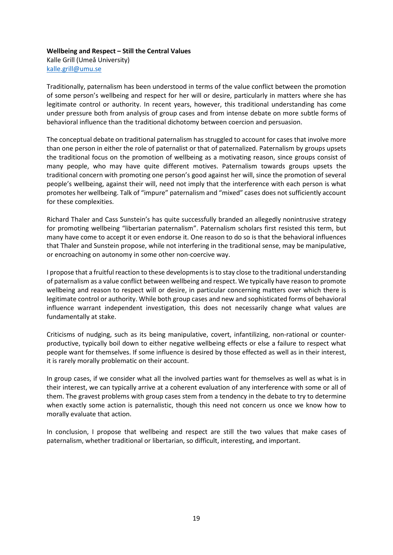# **Wellbeing and Respect – Still the Central Values**

Kalle Grill (Umeå University) [kalle.grill@umu.se](mailto:kalle.grill@umu.se)

Traditionally, paternalism has been understood in terms of the value conflict between the promotion of some person's wellbeing and respect for her will or desire, particularly in matters where she has legitimate control or authority. In recent years, however, this traditional understanding has come under pressure both from analysis of group cases and from intense debate on more subtle forms of behavioral influence than the traditional dichotomy between coercion and persuasion.

The conceptual debate on traditional paternalism has struggled to account for cases that involve more than one person in either the role of paternalist or that of paternalized. Paternalism by groups upsets the traditional focus on the promotion of wellbeing as a motivating reason, since groups consist of many people, who may have quite different motives. Paternalism towards groups upsets the traditional concern with promoting one person's good against her will, since the promotion of several people's wellbeing, against their will, need not imply that the interference with each person is what promotes her wellbeing. Talk of "impure" paternalism and "mixed" cases does not sufficiently account for these complexities.

Richard Thaler and Cass Sunstein's has quite successfully branded an allegedly nonintrusive strategy for promoting wellbeing "libertarian paternalism". Paternalism scholars first resisted this term, but many have come to accept it or even endorse it. One reason to do so is that the behavioral influences that Thaler and Sunstein propose, while not interfering in the traditional sense, may be manipulative, or encroaching on autonomy in some other non-coercive way.

I propose that a fruitful reaction to these developments is to stay close to the traditional understanding of paternalism as a value conflict between wellbeing and respect. We typically have reason to promote wellbeing and reason to respect will or desire, in particular concerning matters over which there is legitimate control or authority. While both group cases and new and sophisticated forms of behavioral influence warrant independent investigation, this does not necessarily change what values are fundamentally at stake.

Criticisms of nudging, such as its being manipulative, covert, infantilizing, non-rational or counterproductive, typically boil down to either negative wellbeing effects or else a failure to respect what people want for themselves. If some influence is desired by those effected as well as in their interest, it is rarely morally problematic on their account.

In group cases, if we consider what all the involved parties want for themselves as well as what is in their interest, we can typically arrive at a coherent evaluation of any interference with some or all of them. The gravest problems with group cases stem from a tendency in the debate to try to determine when exactly some action is paternalistic, though this need not concern us once we know how to morally evaluate that action.

In conclusion, I propose that wellbeing and respect are still the two values that make cases of paternalism, whether traditional or libertarian, so difficult, interesting, and important.